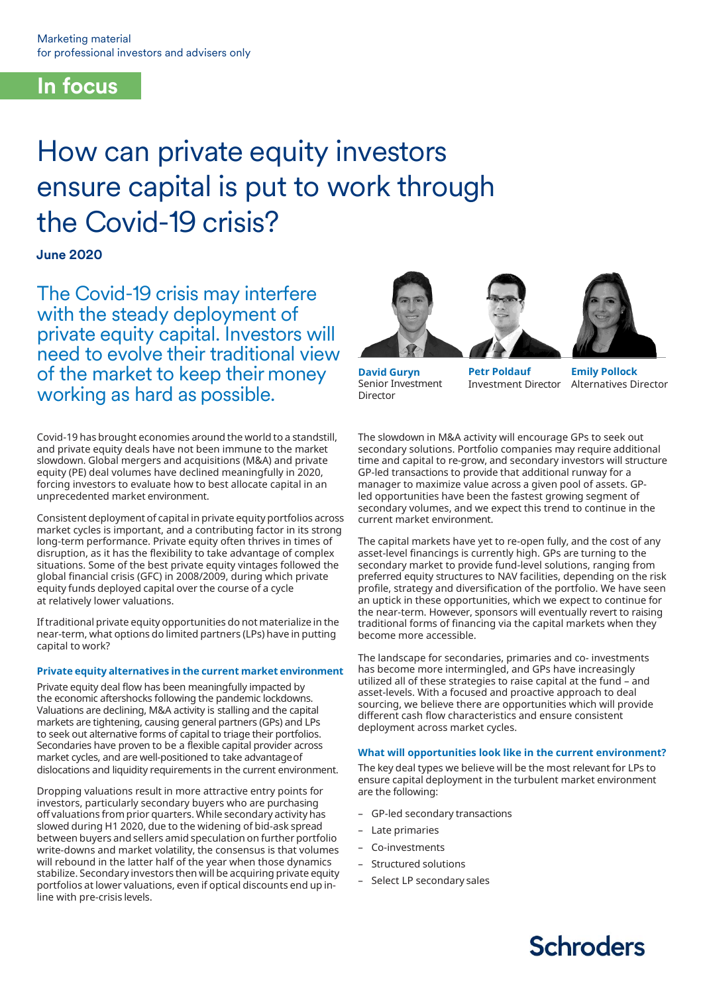# **In focus**

# How can private equity investors ensure capital is put to work through the Covid-19 crisis?

**June 2020**

The Covid-19 crisis may interfere with the steady deployment of private equity capital. Investors will need to evolve their traditional view of the market to keep their money working as hard as possible.

Covid-19 has brought economies around the world to a standstill, and private equity deals have not been immune to the market slowdown. Global mergers and acquisitions (M&A) and private equity (PE) deal volumes have declined meaningfully in 2020, forcing investors to evaluate how to best allocate capital in an unprecedented market environment.

Consistent deployment of capital in private equity portfolios across market cycles is important, and a contributing factor in its strong long-term performance. Private equity often thrives in times of disruption, as it has the flexibility to take advantage of complex situations. Some of the best private equity vintages followed the global financial crisis (GFC) in 2008/2009, during which private equity funds deployed capital over the course of a cycle at relatively lower valuations.

Iftraditional private equity opportunities do not materialize in the near-term, what options do limited partners (LPs) have in putting capital to work?

# **Private equity alternatives in the current market environment**

Private equity deal flow has been meaningfully impacted by the economic aftershocks following the pandemic lockdowns. Valuations are declining, M&A activity is stalling and the capital markets are tightening, causing general partners (GPs) and LPs to seek out alternative forms of capital to triage their portfolios. Secondaries have proven to be a flexible capital provider across market cycles, and are well-positioned to take advantageof dislocations and liquidity requirements in the current environment.

Dropping valuations result in more attractive entry points for investors, particularly secondary buyers who are purchasing off valuations from prior quarters. While secondary activity has slowed during H1 2020, due to the widening of bid-ask spread between buyers and sellers amid speculation on further portfolio write-downs and market volatility, the consensus is that volumes will rebound in the latter half of the year when those dynamics stabilize. Secondary investors then will be acquiring private equity portfolios at lower valuations, even if optical discounts end up inline with pre-crisis levels.







**David Guryn**  Senior Investment Director

**Petr Poldauf** Investment Director

**Emily Pollock** Alternatives Director

The slowdown in M&A activity will encourage GPs to seek out secondary solutions. Portfolio companies may require additional time and capital to re-grow, and secondary investors will structure GP-led transactions to provide that additional runway for a manager to maximize value across a given pool of assets. GPled opportunities have been the fastest growing segment of secondary volumes, and we expect this trend to continue in the current market environment.

The capital markets have yet to re-open fully, and the cost of any asset-level financings is currently high. GPs are turning to the secondary market to provide fund-level solutions, ranging from preferred equity structures to NAV facilities, depending on the risk profile, strategy and diversification of the portfolio. We have seen an uptick in these opportunities, which we expect to continue for the near-term. However, sponsors will eventually revert to raising traditional forms of financing via the capital markets when they become more accessible.

The landscape for secondaries, primaries and co- investments has become more intermingled, and GPs have increasingly utilized all of these strategies to raise capital at the fund – and asset-levels. With a focused and proactive approach to deal sourcing, we believe there are opportunities which will provide different cash flow characteristics and ensure consistent deployment across market cycles.

# **What will opportunities look like in the current environment?**

The key deal types we believe will be the most relevant for LPs to ensure capital deployment in the turbulent market environment are the following:

- GP-led secondary transactions
- Late primaries
- Co-investments
- Structured solutions
- Select LP secondary sales

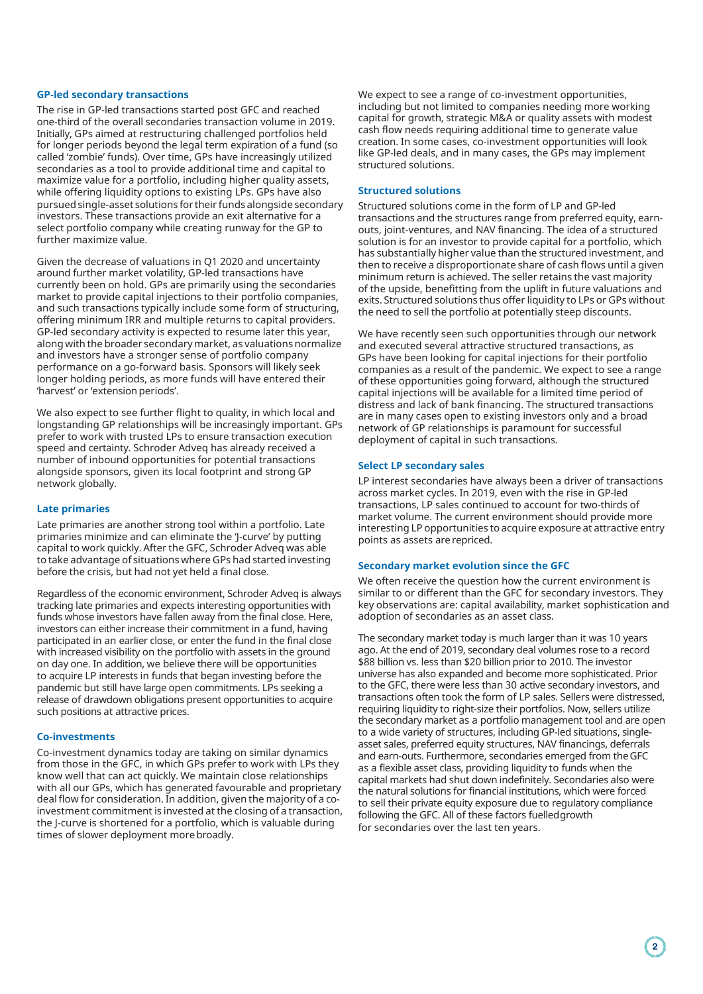#### **GP-led secondary transactions**

The rise in GP-led transactions started post GFC and reached one-third of the overall secondaries transaction volume in 2019. Initially, GPs aimed at restructuring challenged portfolios held for longer periods beyond the legal term expiration of a fund (so called 'zombie' funds). Over time, GPs have increasingly utilized secondaries as a tool to provide additional time and capital to maximize value for a portfolio, including higher quality assets, while offering liquidity options to existing LPs. GPs have also pursued single-asset solutions for their funds alongside secondary investors. These transactions provide an exit alternative for a select portfolio company while creating runway for the GP to further maximize value.

Given the decrease of valuations in Q1 2020 and uncertainty around further market volatility, GP-led transactions have currently been on hold. GPs are primarily using the secondaries market to provide capital injections to their portfolio companies, and such transactions typically include some form of structuring, offering minimum IRR and multiple returns to capital providers. GP-led secondary activity is expected to resume later this year, along with the broader secondarymarket, as valuations normalize and investors have a stronger sense of portfolio company performance on a go-forward basis. Sponsors will likely seek longer holding periods, as more funds will have entered their 'harvest' or 'extension periods'.

We also expect to see further flight to quality, in which local and longstanding GP relationships will be increasingly important. GPs prefer to work with trusted LPs to ensure transaction execution speed and certainty. Schroder Adveq has already received a number of inbound opportunities for potential transactions alongside sponsors, given its local footprint and strong GP network globally.

### **Late primaries**

Late primaries are another strong tool within a portfolio. Late primaries minimize and can eliminate the 'J-curve' by putting capital to work quickly. After the GFC, Schroder Adveq was able to take advantage of situations where GPs had started investing before the crisis, but had not yet held a final close.

Regardless of the economic environment, Schroder Adveq is always tracking late primaries and expects interesting opportunities with funds whose investors have fallen away from the final close. Here, investors can either increase their commitment in a fund, having participated in an earlier close, or enter the fund in the final close with increased visibility on the portfolio with assets in the ground on day one. In addition, we believe there will be opportunities to acquire LP interests in funds that began investing before the pandemic but still have large open commitments. LPs seeking a release of drawdown obligations present opportunities to acquire such positions at attractive prices.

#### **Co-investments**

Co-investment dynamics today are taking on similar dynamics from those in the GFC, in which GPs prefer to work with LPs they know well that can act quickly. We maintain close relationships with all our GPs, which has generated favourable and proprietary deal flow for consideration. In addition, given the majority of a coinvestment commitment is invested at the closing of a transaction, the J-curve is shortened for a portfolio, which is valuable during times of slower deployment morebroadly.

We expect to see a range of co-investment opportunities, including but not limited to companies needing more working capital for growth, strategic M&A or quality assets with modest cash flow needs requiring additional time to generate value creation. In some cases, co-investment opportunities will look like GP-led deals, and in many cases, the GPs may implement structured solutions.

#### **Structured solutions**

Structured solutions come in the form of LP and GP-led transactions and the structures range from preferred equity, earnouts, joint-ventures, and NAV financing. The idea of a structured solution is for an investor to provide capital for a portfolio, which has substantially higher value than the structured investment, and then to receive a disproportionate share of cash flows until a given minimum return is achieved. The seller retains the vast majority of the upside, benefitting from the uplift in future valuations and exits. Structured solutions thus offer liquidity to LPs or GPs without the need to sell the portfolio at potentially steep discounts.

We have recently seen such opportunities through our network and executed several attractive structured transactions, as GPs have been looking for capital injections for their portfolio companies as a result of the pandemic. We expect to see a range of these opportunities going forward, although the structured capital injections will be available for a limited time period of distress and lack of bank financing. The structured transactions are in many cases open to existing investors only and a broad network of GP relationships is paramount for successful deployment of capital in such transactions.

#### **Select LP secondary sales**

LP interest secondaries have always been a driver of transactions across market cycles. In 2019, even with the rise in GP-led transactions, LP sales continued to account for two-thirds of market volume. The current environment should provide more interesting LP opportunities to acquire exposure at attractive entry points as assets are repriced.

#### **Secondary market evolution since the GFC**

We often receive the question how the current environment is similar to or different than the GFC for secondary investors. They key observations are: capital availability, market sophistication and adoption of secondaries as an asset class.

The secondary market today is much larger than it was 10 years ago. At the end of 2019, secondary deal volumes rose to a record \$88 billion vs. less than \$20 billion prior to 2010. The investor universe has also expanded and become more sophisticated. Prior to the GFC, there were less than 30 active secondary investors, and transactions often took the form of LP sales. Sellers were distressed, requiring liquidity to right-size their portfolios. Now, sellers utilize the secondary market as a portfolio management tool and are open to a wide variety of structures, including GP-led situations, singleasset sales, preferred equity structures, NAV financings, deferrals and earn-outs. Furthermore, secondaries emerged from theGFC as a flexible asset class, providing liquidity to funds when the capital markets had shut down indefinitely. Secondaries also were the natural solutions for financial institutions, which were forced to sell their private equity exposure due to regulatory compliance following the GFC. All of these factors fuelledgrowth for secondaries over the last ten years.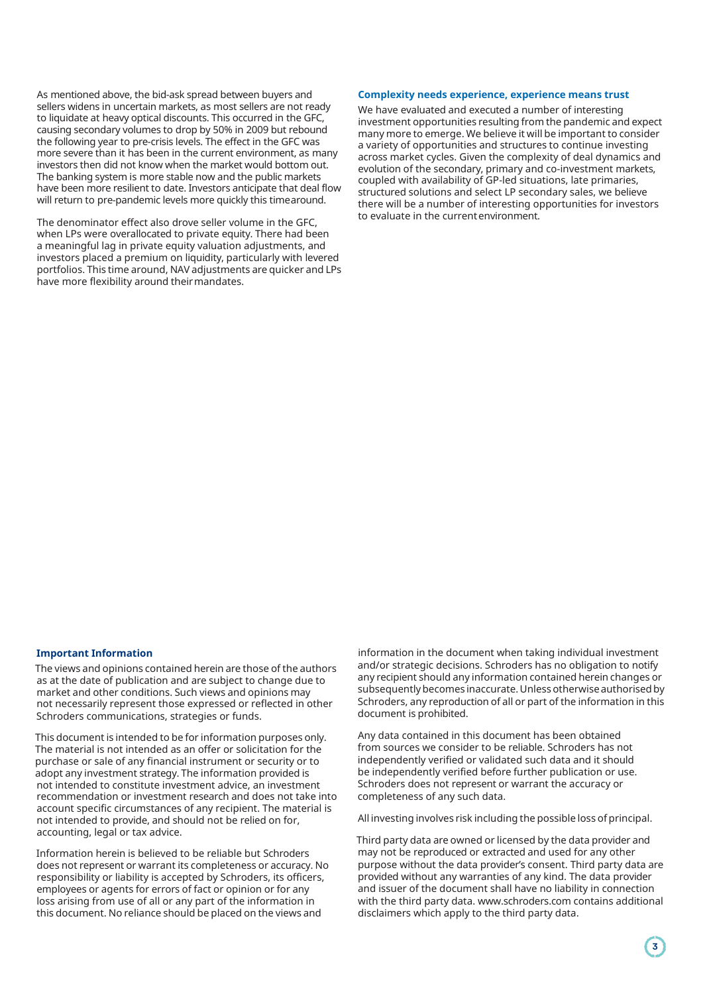As mentioned above, the bid-ask spread between buyers and sellers widens in uncertain markets, as most sellers are not ready to liquidate at heavy optical discounts. This occurred in the GFC, causing secondary volumes to drop by 50% in 2009 but rebound the following year to pre-crisis levels. The effect in the GFC was more severe than it has been in the current environment, as many investors then did not know when the market would bottom out. The banking system is more stable now and the public markets have been more resilient to date. Investors anticipate that deal flow will return to pre-pandemic levels more quickly this timearound.

The denominator effect also drove seller volume in the GFC, when LPs were overallocated to private equity. There had been a meaningful lag in private equity valuation adjustments, and investors placed a premium on liquidity, particularly with levered portfolios. This time around, NAV adjustments are quicker and LPs have more flexibility around their mandates.

#### **Complexity needs experience, experience means trust**

We have evaluated and executed a number of interesting investment opportunities resulting from the pandemic and expect many more to emerge. We believe it will be important to consider a variety of opportunities and structures to continue investing across market cycles. Given the complexity of deal dynamics and evolution of the secondary, primary and co-investment markets, coupled with availability of GP-led situations, late primaries, structured solutions and select LP secondary sales, we believe there will be a number of interesting opportunities for investors to evaluate in the currentenvironment.

#### **Important Information**

The views and opinions contained herein are those of the authors as at the date of publication and are subject to change due to market and other conditions. Such views and opinions may not necessarily represent those expressed or reflected in other Schroders communications, strategies or funds.

This document is intended to be for information purposes only. The material is not intended as an offer or solicitation for the purchase or sale of any financial instrument or security or to adopt any investment strategy. The information provided is not intended to constitute investment advice, an investment recommendation or investment research and does not take into account specific circumstances of any recipient. The material is not intended to provide, and should not be relied on for, accounting, legal or tax advice.

Information herein is believed to be reliable but Schroders does not represent or warrant its completeness or accuracy. No responsibility or liability is accepted by Schroders, its officers, employees or agents for errors of fact or opinion or for any loss arising from use of all or any part of the information in this document. No reliance should be placed on the views and

information in the document when taking individual investment and/or strategic decisions. Schroders has no obligation to notify any recipient should any information contained herein changes or subsequently becomes inaccurate. Unless otherwise authorised by Schroders, any reproduction of all or part of the information in this document is prohibited.

Any data contained in this document has been obtained from sources we consider to be reliable. Schroders has not independently verified or validated such data and it should be independently verified before further publication or use. Schroders does not represent or warrant the accuracy or completeness of any such data.

All investing involves risk including the possible loss of principal.

Third party data are owned or licensed by the data provider and may not be reproduced or extracted and used for any other purpose without the data provider's consent. Third party data are provided without any warranties of any kind. The data provider and issuer of the document shall have no liability in connection with the third party data. [www.schroders.com c](http://www.schroders.com/)ontains additional disclaimers which apply to the third party data.